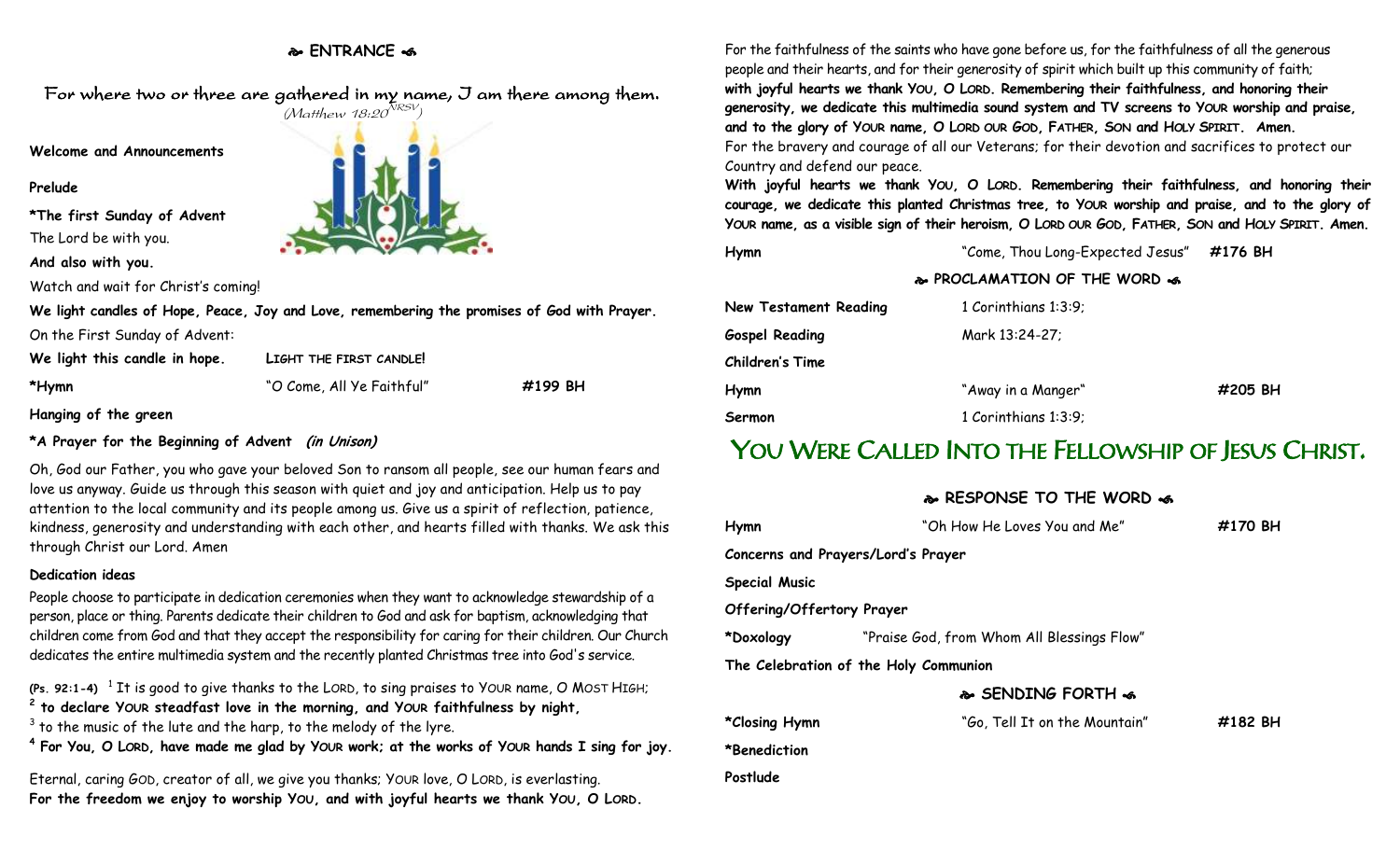### **ENTRANCE**



## **\*A Prayer for the Beginning of Advent (in Unison)**

Oh, God our Father, you who gave your beloved Son to ransom all people, see our human fears and love us anyway. Guide us through this season with quiet and joy and anticipation. Help us to pay attention to the local community and its people among us. Give us a spirit of reflection, patience, kindness, generosity and understanding with each other, and hearts filled with thanks. We ask this through Christ our Lord. Amen

#### **Dedication ideas**

People choose to participate in dedication ceremonies when they want to acknowledge stewardship of a person, place or thing. Parents dedicate their children to God and ask for baptism, acknowledging that children come from God and that they accept the responsibility for caring for their children. Our Church dedicates the entire multimedia system and the recently planted Christmas tree into God's service.

(Ps. 92:1-4)  $\,$   $\,$   $\,$   $\,$   $\,$   $\,$  It is good to give thanks to the LORD, to sing praises to YOUR name, O MOST HIGH; **2 to declare YOUR steadfast love in the morning, and YOUR faithfulness by night,**

 $^3$  to the music of the lute and the harp, to the melody of the lyre.

**4 For You, O LORD, have made me glad by YOUR work; at the works of YOUR hands I sing for joy.**

Eternal, caring GOD, creator of all, we give you thanks; YOUR love, O LORD, is everlasting. **For the freedom we enjoy to worship YOU, and with joyful hearts we thank YOU, O LORD.**

For the faithfulness of the saints who have gone before us, for the faithfulness of all the generous people and their hearts, and for their generosity of spirit which built up this community of faith; **with joyful hearts we thank YOU, O LORD. Remembering their faithfulness, and honoring their generosity, we dedicate this multimedia sound system and TV screens to YOUR worship and praise, and to the glory of YOUR name, O LORD OUR GOD, FATHER, SON and HOLY SPIRIT. Amen.** For the bravery and courage of all our Veterans; for their devotion and sacrifices to protect our Country and defend our peace.

**With joyful hearts we thank YOU, O LORD. Remembering their faithfulness, and honoring their courage, we dedicate this planted Christmas tree, to YOUR worship and praise, and to the glory of YOUR name, as a visible sign of their heroism, O LORD OUR GOD, FATHER, SON and HOLY SPIRIT. Amen.** 

**Hymn** "Come, Thou Long-Expected Jesus" **#176 BH**

**PROCLAMATION OF THE WORD** 

| New Testament Reading | 1 Corinthians 1:3:9; |         |
|-----------------------|----------------------|---------|
| <b>Gospel Reading</b> | Mark 13:24-27;       |         |
| Children's Time       |                      |         |
| Hymn                  | "Away in a Manger"   | #205 BH |
| Sermon                | 1 Corinthians 1:3:9; |         |

# YOU WERE CALLED INTO THE FELLOWSHIP OF JESUS CHRIST.

**R. DESPONSE TO THE WORD .4** 

|                                    | <b>MARINAL IO IN CHURCH AN</b>             |         |
|------------------------------------|--------------------------------------------|---------|
| Hymn                               | "Oh How He Loves You and Me"               | #170 BH |
| Concerns and Prayers/Lord's Prayer |                                            |         |
| <b>Special Music</b>               |                                            |         |
| Offering/Offertory Prayer          |                                            |         |
| *Doxology                          | "Praise God, from Whom All Blessings Flow" |         |
|                                    | The Celebration of the Holy Communion      |         |
|                                    | <b>&amp; SENDING FORTH &amp;</b>           |         |
| *Closing Hymn                      | "Go, Tell It on the Mountain"              | #182 BH |
| *Benediction                       |                                            |         |
|                                    |                                            |         |

**Postlude**